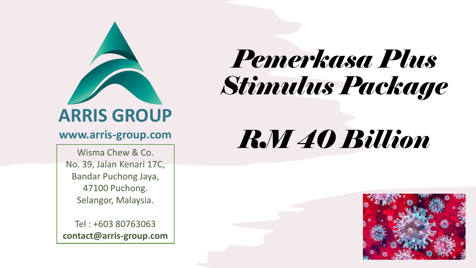

#### **www.arris-group.com**

Wisma Chew & Co. No. 39, Jalan Kenari 17C, Bandar Puchong Jaya, 47100 Puchong. Selangor, Malaysia.

Tel : +603 80763063 **contact@arris-group.com**

# *Pemerkasa Plus Stimulus Package*

# *RM 40 Billion*

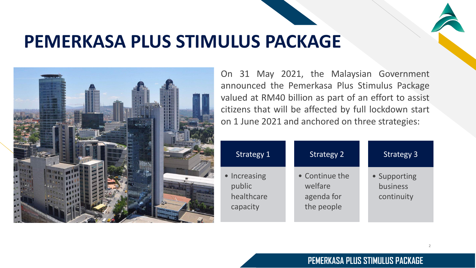## **PEMERKASA PLUS STIMULUS PACKAGE**



On 31 May 2021, the Malaysian Government announced the Pemerkasa Plus Stimulus Package valued at RM40 billion as part of an effort to assist citizens that will be affected by full lockdown start on 1 June 2021 and anchored on three strategies:

| Strategy 1                                       | <b>Strategy 2</b>                                     | <b>Strategy 3</b>                      |
|--------------------------------------------------|-------------------------------------------------------|----------------------------------------|
| • Increasing<br>public<br>healthcare<br>capacity | • Continue the<br>welfare<br>agenda for<br>the people | • Supporting<br>business<br>continuity |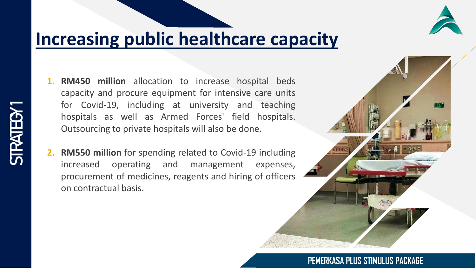## **Increasing public healthcare capacity**

- **1. RM450 million** allocation to increase hospital beds capacity and procure equipment for intensive care units for Covid-19, including at university and teaching hospitals as well as Armed Forces' field hospitals. Outsourcing to private hospitals will also be done.
- **2. RM550 million** for spending related to Covid-19 including increased operating and management expenses, procurement of medicines, reagents and hiring of officers on contractual basis.



FR

#### **PEMERKASA PLUS STIMULUS PACKAGE**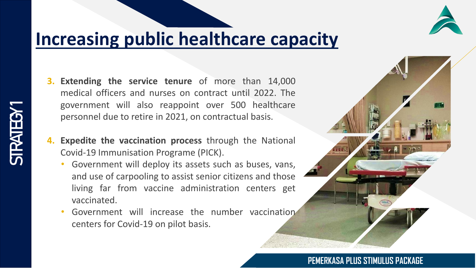## **Increasing public healthcare capacity**

- **3. Extending the service tenure** of more than 14,000 medical officers and nurses on contract until 2022. The government will also reappoint over 500 healthcare personnel due to retire in 2021, on contractual basis.
- **4. Expedite the vaccination process** through the National Covid-19 Immunisation Programe (PICK).
	- Government will deploy its assets such as buses, vans, and use of carpooling to assist senior citizens and those living far from vaccine administration centers get vaccinated.
	- Government will increase the number vaccination centers for Covid-19 on pilot basis.

#### **PEMERKASA PLUS STIMULUS PACKAGE**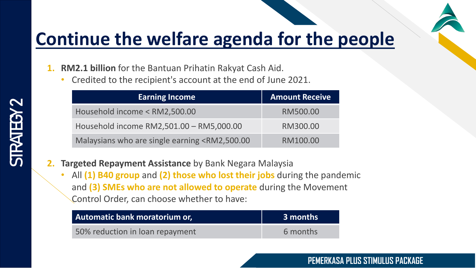

## **Continue the welfare agenda for the people**

**1. RM2.1 billion** for the Bantuan Prihatin Rakyat Cash Aid.

• Credited to the recipient's account at the end of June 2021.

| <b>Earning Income</b>                                                                | <b>Amount Receive</b> |
|--------------------------------------------------------------------------------------|-----------------------|
| Household income < RM2,500.00                                                        | RM500.00              |
| Household income RM2,501.00 - RM5,000.00                                             | RM300.00              |
| Malaysians who are single earning <rm2,500.00< td=""><td>RM100.00</td></rm2,500.00<> | RM100.00              |

- **2. Targeted Repayment Assistance** by Bank Negara Malaysia
	- All **(1) B40 group** and **(2) those who lost their jobs** during the pandemic and **(3) SMEs who are not allowed to operate** during the Movement Control Order, can choose whether to have:

| Automatic bank moratorium or,   | 3 months |
|---------------------------------|----------|
| 50% reduction in loan repayment | 6 months |

# STRATEGY

#### **PEMERKASA PLUS STIMULUS PACKAGE**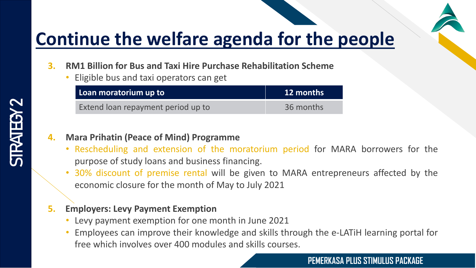

## **Continue the welfare agenda for the people**

- **3. RM1 Billion for Bus and Taxi Hire Purchase Rehabilitation Scheme**
	- Eligible bus and taxi operators can get

| Loan moratorium up to              | <b>12 months</b> |  |  |
|------------------------------------|------------------|--|--|
| Extend loan repayment period up to | 36 months        |  |  |

#### **4. Mara Prihatin (Peace of Mind) Programme**

- Rescheduling and extension of the moratorium period for MARA borrowers for the purpose of study loans and business financing.
- 30% discount of premise rental will be given to MARA entrepreneurs affected by the economic closure for the month of May to July 2021

#### **5. Employers: Levy Payment Exemption**

- Levy payment exemption for one month in June 2021
- Employees can improve their knowledge and skills through the e-LATiH learning portal for free which involves over 400 modules and skills courses.

#### **PEMERKASA PLUS STIMULUS PACKAGE**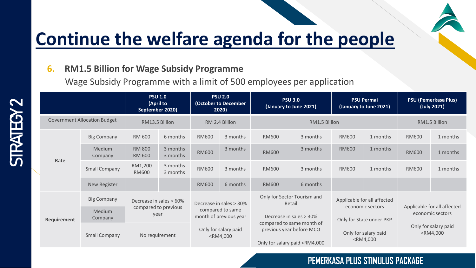

## **Continue the welfare agenda for the people**

#### **6. RM1.5 Billion for Wage Subsidy Programme**

Wage Subsidy Programme with a limit of 500 employees per application

|                                     |                    | <b>PSU 1.0</b><br>(April to<br>September 2020)          |                      | <b>PSU 2.0</b><br>(October to December<br>2020)                                                                                                                                                                                                                                                                                    |          | <b>PSU 3.0</b><br>(January to June 2021)                                                                                                                                                                                                                 |          | <b>PSU Permai</b><br>(January to June 2021)                                 |                                                                                                                              | <b>PSU (Pemerkasa Plus)</b><br>(July 2021)          |          |
|-------------------------------------|--------------------|---------------------------------------------------------|----------------------|------------------------------------------------------------------------------------------------------------------------------------------------------------------------------------------------------------------------------------------------------------------------------------------------------------------------------------|----------|----------------------------------------------------------------------------------------------------------------------------------------------------------------------------------------------------------------------------------------------------------|----------|-----------------------------------------------------------------------------|------------------------------------------------------------------------------------------------------------------------------|-----------------------------------------------------|----------|
| <b>Government Allocation Budget</b> |                    | RM13.5 Billion                                          |                      | RM 2.4 Billion                                                                                                                                                                                                                                                                                                                     |          | RM1.5 Billion                                                                                                                                                                                                                                            |          |                                                                             | RM1.5 Billion                                                                                                                |                                                     |          |
| Rate                                | <b>Big Company</b> | RM 600                                                  | 6 months             | <b>RM600</b>                                                                                                                                                                                                                                                                                                                       | 3 months | <b>RM600</b>                                                                                                                                                                                                                                             | 3 months | <b>RM600</b>                                                                | 1 months                                                                                                                     | <b>RM600</b>                                        | 1 months |
|                                     | Medium<br>Company  | <b>RM 800</b><br><b>RM 600</b>                          | 3 months<br>3 months | <b>RM600</b>                                                                                                                                                                                                                                                                                                                       | 3 months | <b>RM600</b>                                                                                                                                                                                                                                             | 3 months | <b>RM600</b>                                                                | 1 months                                                                                                                     | <b>RM600</b>                                        | 1 months |
|                                     | Small Company      | RM1,200<br><b>RM600</b>                                 | 3 months<br>3 months | <b>RM600</b>                                                                                                                                                                                                                                                                                                                       | 3 months | <b>RM600</b>                                                                                                                                                                                                                                             | 3 months | <b>RM600</b>                                                                | 1 months                                                                                                                     | <b>RM600</b>                                        | 1 months |
|                                     | New Register       |                                                         |                      | <b>RM600</b>                                                                                                                                                                                                                                                                                                                       | 6 months | <b>RM600</b>                                                                                                                                                                                                                                             | 6 months |                                                                             |                                                                                                                              |                                                     |          |
| Requirement                         | <b>Big Company</b> | Decrease in sales > 60%<br>compared to previous<br>year |                      | Decrease in sales > 30%<br>compared to same<br>month of previous year                                                                                                                                                                                                                                                              |          | Only for Sector Tourism and<br>Retail                                                                                                                                                                                                                    |          | Applicable for all affected<br>economic sectors<br>Only for State under PKP |                                                                                                                              | Applicable for all affected<br>economic sectors     |          |
|                                     | Medium<br>Company  |                                                         |                      |                                                                                                                                                                                                                                                                                                                                    |          | Decrease in sales > 30%                                                                                                                                                                                                                                  |          |                                                                             |                                                                                                                              |                                                     |          |
|                                     | Small Company      | No requirement                                          |                      | Only for salary paid<br><rm4,000< td=""><td colspan="2">compared to same month of<br/>previous year before MCO<br/>Only for salary paid <rm4,000< td=""><td></td><td>Only for salary paid<br/><rm4,000< td=""><td colspan="2">Only for salary paid<br/><rm4,000< td=""></rm4,000<></td></rm4,000<></td></rm4,000<></td></rm4,000<> |          | compared to same month of<br>previous year before MCO<br>Only for salary paid <rm4,000< td=""><td></td><td>Only for salary paid<br/><rm4,000< td=""><td colspan="2">Only for salary paid<br/><rm4,000< td=""></rm4,000<></td></rm4,000<></td></rm4,000<> |          |                                                                             | Only for salary paid<br><rm4,000< td=""><td colspan="2">Only for salary paid<br/><rm4,000< td=""></rm4,000<></td></rm4,000<> | Only for salary paid<br><rm4,000< td=""></rm4,000<> |          |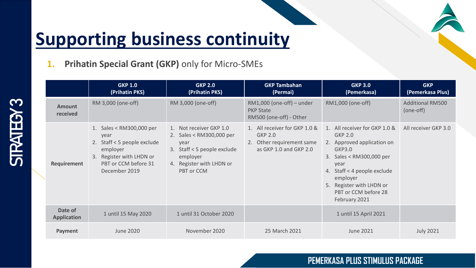#### **1. Prihatin Special Grant (GKP)** only for Micro-SMEs

**STRATEGY 3** 

|                               | <b>GKP 1.0</b><br>(Prihatin PKS)                                                                                                                 | <b>GKP 2.0</b><br>(Prihatin PKS)                                                                                                                 | <b>GKP Tambahan</b><br>(Permai)                                                                        | <b>GKP 3.0</b><br>(Pemerkasa)                                                                                                                                                                                                               | <b>GKP</b><br>(Pemerkasa Plus)       |
|-------------------------------|--------------------------------------------------------------------------------------------------------------------------------------------------|--------------------------------------------------------------------------------------------------------------------------------------------------|--------------------------------------------------------------------------------------------------------|---------------------------------------------------------------------------------------------------------------------------------------------------------------------------------------------------------------------------------------------|--------------------------------------|
| <b>Amount</b><br>received     | RM 3,000 (one-off)                                                                                                                               | RM 3,000 (one-off)                                                                                                                               | $RM1,000$ (one-off) – under<br><b>PKP State</b><br>RM500 (one-off) - Other                             | RM1,000 (one-off)                                                                                                                                                                                                                           | <b>Additional RM500</b><br>(one-off) |
| Requirement                   | 1. Sales < RM300,000 per<br>year<br>2. Staff < 5 people exclude<br>employer<br>3. Register with LHDN or<br>PBT or CCM before 31<br>December 2019 | 1. Not receiver GKP 1.0<br>2. Sales < RM300,000 per<br>year<br>3. Staff < 5 people exclude<br>employer<br>4. Register with LHDN or<br>PBT or CCM | 1. All receiver for GKP 1.0 &<br><b>GKP 2.0</b><br>2. Other requirement same<br>as GKP 1.0 and GKP 2.0 | 1. All receiver for GKP 1.0 &<br><b>GKP 2.0</b><br>2. Approved application on<br>GKP3.0<br>3. Sales < RM300,000 per<br>year<br>4. Staff < 4 people exclude<br>employer<br>5. Register with LHDN or<br>PBT or CCM before 28<br>February 2021 | All receiver GKP 3.0                 |
| Date of<br><b>Application</b> | 1 until 15 May 2020                                                                                                                              | 1 until 31 October 2020                                                                                                                          |                                                                                                        | 1 until 15 April 2021                                                                                                                                                                                                                       |                                      |
| Payment                       | <b>June 2020</b>                                                                                                                                 | November 2020                                                                                                                                    | 25 March 2021                                                                                          | <b>June 2021</b>                                                                                                                                                                                                                            | <b>July 2021</b>                     |

#### **PEMERKASA PLUS STIMULUS PACKAGE**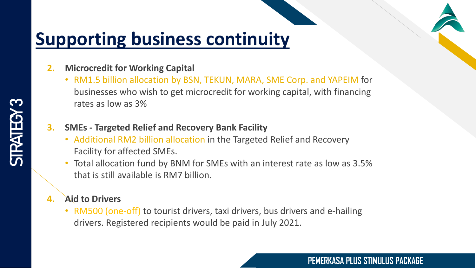#### **2. Microcredit for Working Capital**

- RM1.5 billion allocation by BSN, TEKUN, MARA, SME Corp. and YAPEIM for businesses who wish to get microcredit for working capital, with financing rates as low as 3%
- **3. SMEs - Targeted Relief and Recovery Bank Facility**
	- Additional RM2 billion allocation in the Targeted Relief and Recovery Facility for affected SMEs.
	- Total allocation fund by BNM for SMEs with an interest rate as low as 3.5% that is still available is RM7 billion.

#### **4. Aid to Drivers**

• RM500 (one-off) to tourist drivers, taxi drivers, bus drivers and e-hailing drivers. Registered recipients would be paid in July 2021.

#### **PEMERKASA PLUS STIMULUS PACKAGE**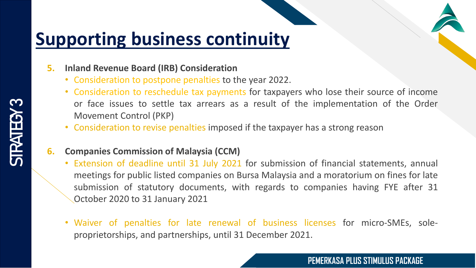- **5. Inland Revenue Board (IRB) Consideration**
	- Consideration to postpone penalties to the year 2022.
	- Consideration to reschedule tax payments for taxpayers who lose their source of income or face issues to settle tax arrears as a result of the implementation of the Order Movement Control (PKP)
	- Consideration to revise penalties imposed if the taxpayer has a strong reason
- **6. Companies Commission of Malaysia (CCM)**
	- Extension of deadline until 31 July 2021 for submission of financial statements, annual meetings for public listed companies on Bursa Malaysia and a moratorium on fines for late submission of statutory documents, with regards to companies having FYE after 31 October 2020 to 31 January 2021
	- Waiver of penalties for late renewal of business licenses for micro-SMEs, soleproprietorships, and partnerships, until 31 December 2021.

#### **PEMERKASA PLUS STIMULUS PACKAGE**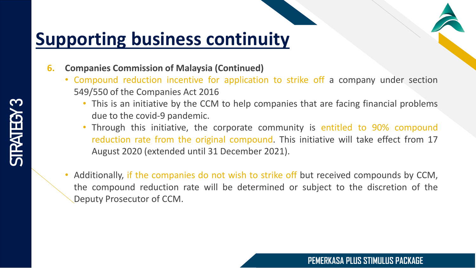- **6. Companies Commission of Malaysia (Continued)**
	- Compound reduction incentive for application to strike off a company under section 549/550 of the Companies Act 2016
		- This is an initiative by the CCM to help companies that are facing financial problems due to the covid-9 pandemic.
		- Through this initiative, the corporate community is entitled to 90% compound reduction rate from the original compound. This initiative will take effect from 17 August 2020 (extended until 31 December 2021).
	- Additionally, if the companies do not wish to strike off but received compounds by CCM, the compound reduction rate will be determined or subject to the discretion of the Deputy Prosecutor of CCM.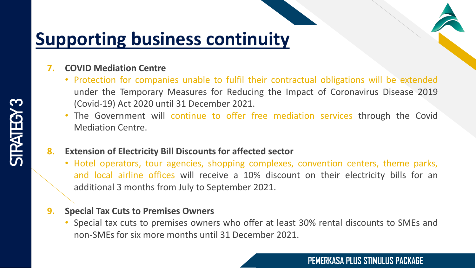#### **7. COVID Mediation Centre**

- Protection for companies unable to fulfil their contractual obligations will be extended under the Temporary Measures for Reducing the Impact of Coronavirus Disease 2019 (Covid-19) Act 2020 until 31 December 2021.
- The Government will continue to offer free mediation services through the Covid Mediation Centre.

#### **8. Extension of Electricity Bill Discounts for affected sector**

• Hotel operators, tour agencies, shopping complexes, convention centers, theme parks, and local airline offices will receive a 10% discount on their electricity bills for an additional 3 months from July to September 2021.

#### **9. Special Tax Cuts to Premises Owners**

• Special tax cuts to premises owners who offer at least 30% rental discounts to SMEs and non-SMEs for six more months until 31 December 2021.